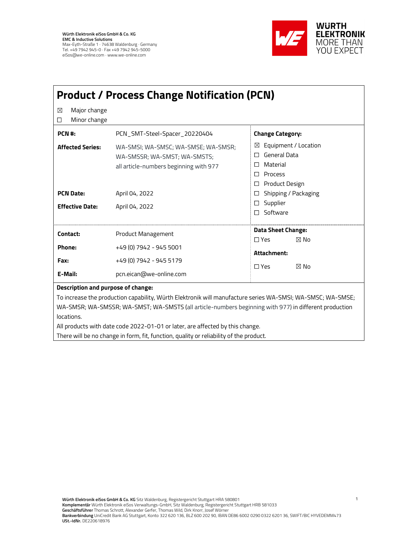

| <b>Product / Process Change Notification (PCN)</b>                                                         |                                                                        |                                                                                     |  |  |
|------------------------------------------------------------------------------------------------------------|------------------------------------------------------------------------|-------------------------------------------------------------------------------------|--|--|
| Major change<br>X<br>Minor change<br>□                                                                     |                                                                        |                                                                                     |  |  |
| PCN #:<br><b>Affected Series:</b>                                                                          | PCN_SMT-Steel-Spacer_20220404<br>WA-SMSI; WA-SMSC; WA-SMSE; WA-SMSR;   | <b>Change Category:</b><br>Equipment / Location<br>X                                |  |  |
|                                                                                                            | WA-SMSSR; WA-SMST; WA-SMSTS;<br>all article-numbers beginning with 977 | General Data<br>П<br>Material<br>П<br>Process<br>$\Box$<br>Product Design<br>$\Box$ |  |  |
| <b>PCN Date:</b>                                                                                           | April 04, 2022                                                         | Shipping / Packaging<br>$\Box$                                                      |  |  |
| <b>Effective Date:</b>                                                                                     | April 04, 2022                                                         | Supplier<br>$\Box$<br>Software<br>П                                                 |  |  |
| Contact:                                                                                                   | Product Management                                                     | <b>Data Sheet Change:</b><br>⊠ No<br>$\Box Yes$                                     |  |  |
| Phone:                                                                                                     | +49 (0) 7942 - 945 5001                                                | Attachment:                                                                         |  |  |
| Fax:                                                                                                       | +49 (0) 7942 - 945 5179                                                | $\Box$ Yes<br>⊠ No                                                                  |  |  |
| E-Mail:                                                                                                    | pcn.eican@we-online.com                                                |                                                                                     |  |  |
| <b>Description and purpose of change:</b>                                                                  |                                                                        |                                                                                     |  |  |
| To increase the production capability, Würth Elektronik will manufacture series WA-SMSI; WA-SMSC; WA-SMSE; |                                                                        |                                                                                     |  |  |
| WA-SMSR; WA-SMSSR; WA-SMST; WA-SMSTS (all article-numbers beginning with 977) in different production      |                                                                        |                                                                                     |  |  |
| locations.                                                                                                 |                                                                        |                                                                                     |  |  |

All products with date code 2022-01-01 or later, are affected by this change.

There will be no change in form, fit, function, quality or reliability of the product.